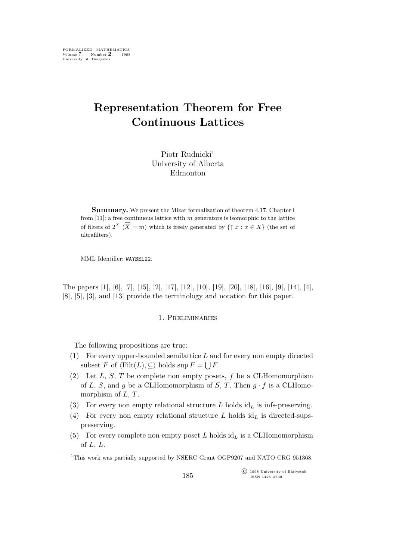FORMALIZED MATHEMATICS Volume 7, Number **2**, 1998 University of Białystok

# **Representation Theorem for Free Continuous Lattices**

Piotr Rudnicki<sup>1</sup> University of Alberta Edmonton

**Summary.** We present the Mizar formalization of theorem 4.17, Chapter I from  $[11]$ : a free continuous lattice with m generators is isomorphic to the lattice of filters of  $2^X$   $(\overline{\overline{X}} = m)$  which is freely generated by  $\{\uparrow x : x \in X\}$  (the set of ultrafilters).

MML Identifier: WAYBEL22.

The papers [1], [6], [7], [15], [2], [17], [12], [10], [19], [20], [18], [16], [9], [14], [4], [8], [5], [3], and [13] provide the terminology and notation for this paper.

# 1. Preliminaries

The following propositions are true:

- (1) For every upper-bounded semilattice  $L$  and for every non empty directed subset F of  $\langle \text{Filt}(L), \subseteq \rangle$  holds sup  $F = \bigcup F$ .
- (2) Let  $L, S, T$  be complete non empty posets, f be a CLHomomorphism of L, S, and g be a CLHomomorphism of S, T. Then  $g \cdot f$  is a CLHomomorphism of  $L, T$ .
- (3) For every non empty relational structure  $L$  holds  $id_L$  is infs-preserving.
- (4) For every non empty relational structure L holds  $id_L$  is directed-supspreserving.
- (5) For every complete non empty poset L holds  $id_L$  is a CLHomomorphism of  $L, L$ .

<sup>&</sup>lt;sup>1</sup>This work was partially supported by NSERC Grant OGP9207 and NATO CRG 951368.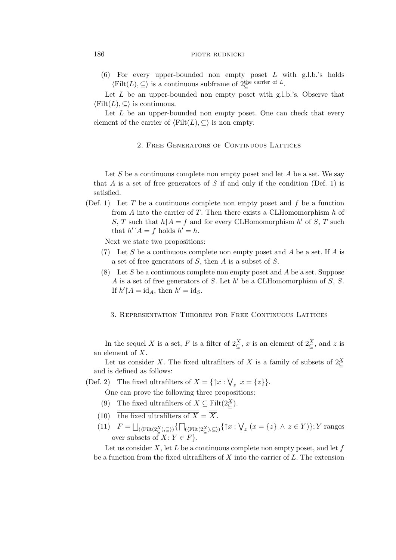## 186 **piotr** PIOTR RUDNICKI

(6) For every upper-bounded non empty poset L with g.l.b.'s holds  $\langle \text{Filt}(L), \subseteq \rangle$  is a continuous subframe of  $2^{\text{the carrier of } L}_{\subseteq}$ .

Let  $L$  be an upper-bounded non empty poset with g.l.b.'s. Observe that  $\langle$ Filt $(L), \subseteq \rangle$  is continuous.

Let  $L$  be an upper-bounded non empty poset. One can check that every element of the carrier of  $\langle$ Filt $(L), \subseteq \rangle$  is non empty.

### 2. Free Generators of Continuous Lattices

Let  $S$  be a continuous complete non empty poset and let  $A$  be a set. We say that A is a set of free generators of S if and only if the condition (Def. 1) is satisfied.

(Def. 1) Let T be a continuous complete non empty poset and  $f$  be a function from A into the carrier of T. Then there exists a CLHomomorphism  $h$  of S, T such that  $h \upharpoonright A = f$  and for every CLHomomorphism  $h'$  of S, T such that  $h' \upharpoonright A = f$  holds  $h' = h$ .

Next we state two propositions:

- (7) Let S be a continuous complete non empty poset and A be a set. If A is a set of free generators of S, then A is a subset of S.
- (8) Let S be a continuous complete non empty poset and A be a set. Suppose A is a set of free generators of S. Let  $h'$  be a CLHomomorphism of S, S. If  $h' \upharpoonright A = \mathrm{id}_A$ , then  $h' = \mathrm{id}_S$ .
	- 3. Representation Theorem for Free Continuous Lattices

In the sequel X is a set, F is a filter of  $2\frac{X}{\subseteq}$ , x is an element of  $2\frac{X}{\subseteq}$ , and z is an element of X.

Let us consider X. The fixed ultrafilters of X is a family of subsets of  $2^X_{\subseteq}$ and is defined as follows:

(Def. 2) The fixed ultrafilters of  $X = \{\uparrow x : \bigvee_z x = \{z\}\}.$ 

One can prove the following three propositions:

- (9) The fixed ultrafilters of  $X \subseteq \text{Filt}(2\mathcal{Z}_\subseteq)$ .
- (10) the fixed ultrafilters of  $\overline{X} = \overline{\overline{X}}$ .
- $(11)$   $F = \bigsqcup_{(\langle \text{Filt}(2\frac{x}{\zeta}), \subseteq \rangle)} {\{\bigcap_{(\langle \text{Filt}(2\frac{x}{\zeta}), \subseteq \rangle)} {\{\bigcap_{\zeta} x : \bigvee_z (x = \{z\} \land z \in Y)\}\}}; Y \text{ ranges}}$ over subsets of  $X: Y \in F$ .

Let us consider  $X$ , let  $L$  be a continuous complete non empty poset, and let  $f$ be a function from the fixed ultrafilters of  $X$  into the carrier of  $L$ . The extension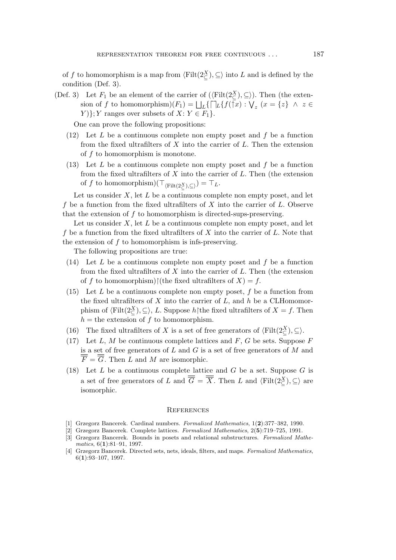of f to homomorphism is a map from  $\langle \text{Filt}(2\frac{X}{\zeta}), \subseteq \rangle$  into L and is defined by the condition (Def. 3).

(Def. 3) Let  $F_1$  be an element of the carrier of  $(\langle \text{Filt}(2\frac{X}{\zeta}), \subseteq \rangle)$ . Then (the extension of f to homomorphism) $(F_1) = \bigsqcup_L \{\bigsqcup_L \{f(\bar{x}): \bigvee_z (x = \{z\} \land z \in$  $Y$  }; Y ranges over subsets of  $X: Y \in F_1$  }.

One can prove the following propositions:

- $(12)$  Let L be a continuous complete non empty poset and f be a function from the fixed ultrafilters of  $X$  into the carrier of  $L$ . Then the extension of  $f$  to homomorphism is monotone.
- (13) Let  $L$  be a continuous complete non empty poset and  $f$  be a function from the fixed ultrafilters of  $X$  into the carrier of  $L$ . Then (the extension  $\inf f$  to homomorphism) $(\top_{\langle \text{Filt}(2\frac{X}{\zeta}), \subseteq \rangle}) = \top_L$ .

Let us consider  $X$ , let  $L$  be a continuous complete non empty poset, and let f be a function from the fixed ultrafilters of  $X$  into the carrier of  $L$ . Observe that the extension of  $f$  to homomorphism is directed-sups-preserving.

Let us consider  $X$ , let  $L$  be a continuous complete non empty poset, and let f be a function from the fixed ultrafilters of  $X$  into the carrier of  $L$ . Note that the extension of  $f$  to homomorphism is infs-preserving.

The following propositions are true:

- $(14)$  Let L be a continuous complete non empty poset and f be a function from the fixed ultrafilters of  $X$  into the carrier of  $L$ . Then (the extension of f to homomorphism) $\restriction$ (the fixed ultrafilters of  $X$ ) = f.
- (15) Let  $L$  be a continuous complete non empty poset,  $f$  be a function from the fixed ultrafilters of  $X$  into the carrier of  $L$ , and  $h$  be a CLHomomorphism of  $\langle \text{Filt}(2\frac{X}{\subseteq}), \subseteq \rangle$ , *L*. Suppose  $h$  $\upharpoonright$ the fixed ultrafilters of  $X = f$ . Then  $h =$  the extension of f to homomorphism.
- (16) The fixed ultrafilters of X is a set of free generators of  $\langle \text{Filt}(2\leq^{\chi})$ ,  $\subseteq$ ).
- (17) Let  $L, M$  be continuous complete lattices and  $F, G$  be sets. Suppose  $F$ is a set of free generators of  $L$  and  $G$  is a set of free generators of  $M$  and  $\overline{F} = \overline{G}$ . Then L and M are isomorphic.
- (18) Let  $L$  be a continuous complete lattice and  $G$  be a set. Suppose  $G$  is a set of free generators of L and  $\overline{G} = \overline{X}$ . Then L and  $\langle \text{Filt}(2\frac{X}{\zeta}), \subseteq \rangle$  are isomorphic.

#### **REFERENCES**

- [1] Grzegorz Bancerek. Cardinal numbers. *Formalized Mathematics*, 1(**2**):377–382, 1990.
- [2] Grzegorz Bancerek. Complete lattices. *Formalized Mathematics*, 2(**5**):719–725, 1991.
- [3] Grzegorz Bancerek. Bounds in posets and relational substructures. *Formalized Mathematics*, 6(**1**):81–91, 1997.
- [4] Grzegorz Bancerek. Directed sets, nets, ideals, filters, and maps. *Formalized Mathematics*, 6(**1**):93–107, 1997.